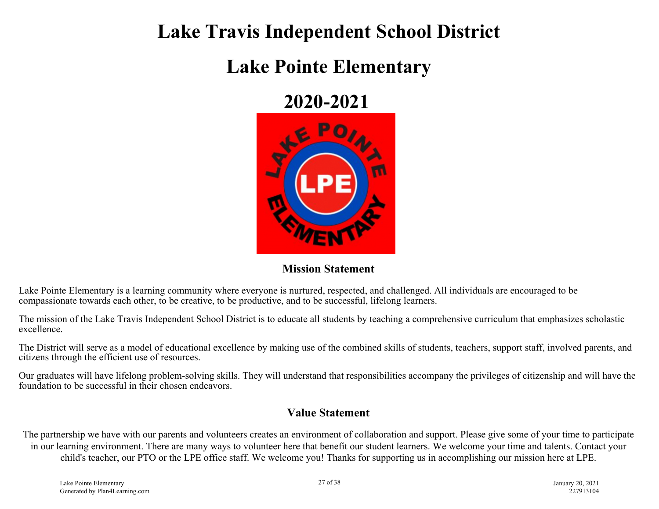## **Lake Travis Independent School District**

# **Lake Pointe Elementary**

### **2020-2021**



#### **Mission Statement**

Lake Pointe Elementary is a learning community where everyone is nurtured, respected, and challenged. All individuals are encouraged to be compassionate towards each other, to be creative, to be productive, and to be successful, lifelong learners.

The mission of the Lake Travis Independent School District is to educate all students by teaching a comprehensive curriculum that emphasizes scholastic excellence.

The District will serve as a model of educational excellence by making use of the combined skills of students, teachers, support staff, involved parents, and citizens through the efficient use of resources.

Our graduates will have lifelong problem-solving skills. They will understand that responsibilities accompany the privileges of citizenship and will have the foundation to be successful in their chosen endeavors.

#### **Value Statement**

The partnership we have with our parents and volunteers creates an environment of collaboration and support. Please give some of your time to participate in our learning environment. There are many ways to volunteer here that benefit our student learners. We welcome your time and talents. Contact your child's teacher, our PTO or the LPE office staff. We welcome you! Thanks for supporting us in accomplishing our mission here at LPE.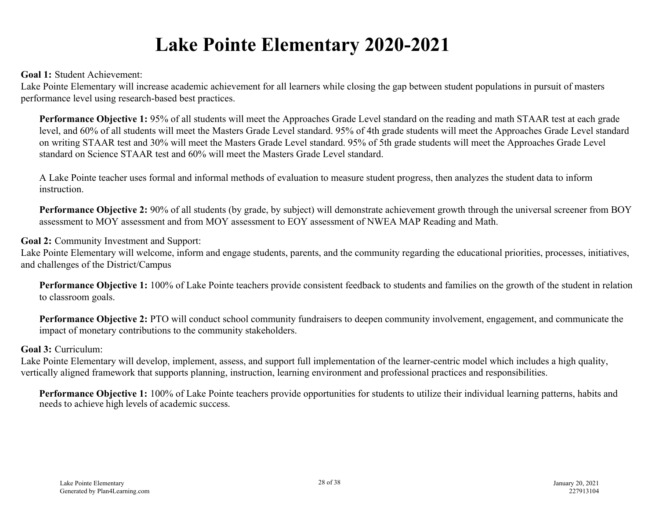# **Lake Pointe Elementary 2020-2021**

**Goal 1:** Student Achievement:

Lake Pointe Elementary will increase academic achievement for all learners while closing the gap between student populations in pursuit of masters performance level using research-based best practices.

**Performance Objective 1:** 95% of all students will meet the Approaches Grade Level standard on the reading and math STAAR test at each grade level, and 60% of all students will meet the Masters Grade Level standard. 95% of 4th grade students will meet the Approaches Grade Level standard on writing STAAR test and 30% will meet the Masters Grade Level standard. 95% of 5th grade students will meet the Approaches Grade Level standard on Science STAAR test and 60% will meet the Masters Grade Level standard.

A Lake Pointe teacher uses formal and informal methods of evaluation to measure student progress, then analyzes the student data to inform **instruction** 

**Performance Objective 2:** 90% of all students (by grade, by subject) will demonstrate achievement growth through the universal screener from BOY assessment to MOY assessment and from MOY assessment to EOY assessment of NWEA MAP Reading and Math.

**Goal 2:** Community Investment and Support:

Lake Pointe Elementary will welcome, inform and engage students, parents, and the community regarding the educational priorities, processes, initiatives, and challenges of the District/Campus

**Performance Objective 1:** 100% of Lake Pointe teachers provide consistent feedback to students and families on the growth of the student in relation to classroom goals.

**Performance Objective 2:** PTO will conduct school community fundraisers to deepen community involvement, engagement, and communicate the impact of monetary contributions to the community stakeholders.

#### **Goal 3:** Curriculum:

Lake Pointe Elementary will develop, implement, assess, and support full implementation of the learner-centric model which includes a high quality, vertically aligned framework that supports planning, instruction, learning environment and professional practices and responsibilities.

**Performance Objective 1:** 100% of Lake Pointe teachers provide opportunities for students to utilize their individual learning patterns, habits and needs to achieve high levels of academic success.